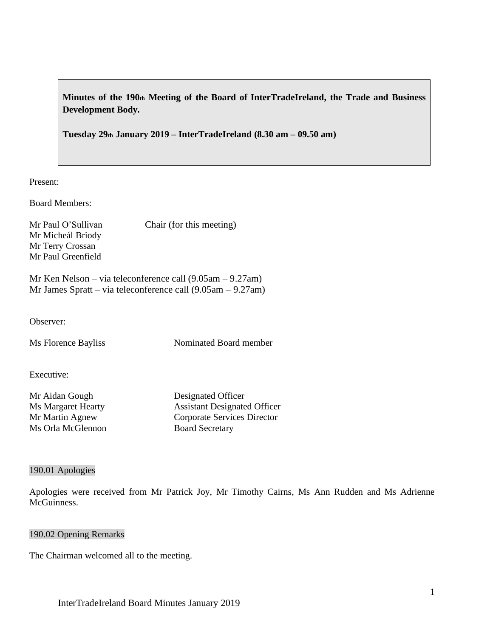**Minutes of the 190th Meeting of the Board of InterTradeIreland, the Trade and Business Development Body.**

**Tuesday 29th January 2019 – InterTradeIreland (8.30 am – 09.50 am)**

Present:

Board Members:

Mr Micheál Briody Mr Terry Crossan Mr Paul Greenfield

Mr Paul O'Sullivan Chair (for this meeting)

Mr Ken Nelson – via teleconference call (9.05am – 9.27am) Mr James Spratt – via teleconference call (9.05am – 9.27am)

Observer:

Ms Florence Bayliss Nominated Board member

Executive:

Mr Aidan Gough Designated Officer Ms Orla McGlennon Board Secretary

Ms Margaret Hearty Assistant Designated Officer Mr Martin Agnew Corporate Services Director

#### 190.01 Apologies

Apologies were received from Mr Patrick Joy, Mr Timothy Cairns, Ms Ann Rudden and Ms Adrienne McGuinness.

#### 190.02 Opening Remarks

The Chairman welcomed all to the meeting.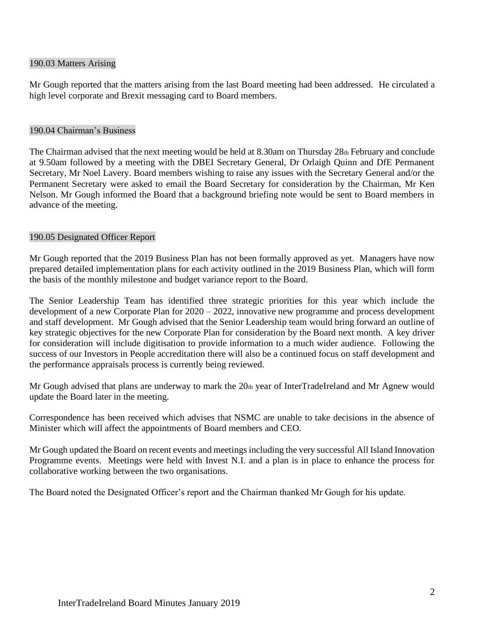### 190.03 Matters Arising

Mr Gough reported that the matters arising from the last Board meeting had been addressed. He circulated a high level corporate and Brexit messaging card to Board members.

#### 190.04 Chairman's Business

The Chairman advised that the next meeting would be held at 8.30am on Thursday 28th February and conclude at 9.50am followed by a meeting with the DBEI Secretary General, Dr Orlaigh Quinn and DfE Permanent Secretary, Mr Noel Lavery. Board members wishing to raise any issues with the Secretary General and/or the Permanent Secretary were asked to email the Board Secretary for consideration by the Chairman, Mr Ken Nelson. Mr Gough informed the Board that a background briefing note would be sent to Board members in advance of the meeting.

### 190.05 Designated Officer Report

Mr Gough reported that the 2019 Business Plan has not been formally approved as yet. Managers have now prepared detailed implementation plans for each activity outlined in the 2019 Business Plan, which will form the basis of the monthly milestone and budget variance report to the Board.

The Senior Leadership Team has identified three strategic priorities for this year which include the development of a new Corporate Plan for 2020 – 2022, innovative new programme and process development and staff development. Mr Gough advised that the Senior Leadership team would bring forward an outline of key strategic objectives for the new Corporate Plan for consideration by the Board next month. A key driver for consideration will include digitisation to provide information to a much wider audience. Following the success of our Investors in People accreditation there will also be a continued focus on staff development and the performance appraisals process is currently being reviewed.

Mr Gough advised that plans are underway to mark the 20th year of InterTradeIreland and Mr Agnew would update the Board later in the meeting.

Correspondence has been received which advises that NSMC are unable to take decisions in the absence of Minister which will affect the appointments of Board members and CEO.

Mr Gough updated the Board on recent events and meetings including the very successful All Island Innovation Programme events. Meetings were held with Invest N.I. and a plan is in place to enhance the process for collaborative working between the two organisations.

The Board noted the Designated Officer's report and the Chairman thanked Mr Gough for his update.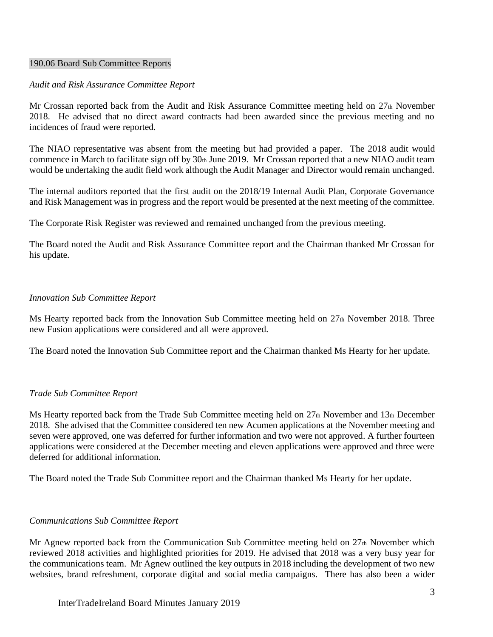### 190.06 Board Sub Committee Reports

#### *Audit and Risk Assurance Committee Report*

Mr Crossan reported back from the Audit and Risk Assurance Committee meeting held on 27th November 2018. He advised that no direct award contracts had been awarded since the previous meeting and no incidences of fraud were reported.

The NIAO representative was absent from the meeting but had provided a paper. The 2018 audit would commence in March to facilitate sign off by 30th June 2019. Mr Crossan reported that a new NIAO audit team would be undertaking the audit field work although the Audit Manager and Director would remain unchanged.

The internal auditors reported that the first audit on the 2018/19 Internal Audit Plan, Corporate Governance and Risk Management was in progress and the report would be presented at the next meeting of the committee.

The Corporate Risk Register was reviewed and remained unchanged from the previous meeting.

The Board noted the Audit and Risk Assurance Committee report and the Chairman thanked Mr Crossan for his update.

#### *Innovation Sub Committee Report*

Ms Hearty reported back from the Innovation Sub Committee meeting held on 27th November 2018. Three new Fusion applications were considered and all were approved.

The Board noted the Innovation Sub Committee report and the Chairman thanked Ms Hearty for her update.

### *Trade Sub Committee Report*

Ms Hearty reported back from the Trade Sub Committee meeting held on  $27<sub>th</sub>$  November and  $13<sub>th</sub>$  December 2018. She advised that the Committee considered ten new Acumen applications at the November meeting and seven were approved, one was deferred for further information and two were not approved. A further fourteen applications were considered at the December meeting and eleven applications were approved and three were deferred for additional information.

The Board noted the Trade Sub Committee report and the Chairman thanked Ms Hearty for her update.

#### *Communications Sub Committee Report*

Mr Agnew reported back from the Communication Sub Committee meeting held on  $27<sub>th</sub>$  November which reviewed 2018 activities and highlighted priorities for 2019. He advised that 2018 was a very busy year for the communications team. Mr Agnew outlined the key outputs in 2018 including the development of two new websites, brand refreshment, corporate digital and social media campaigns. There has also been a wider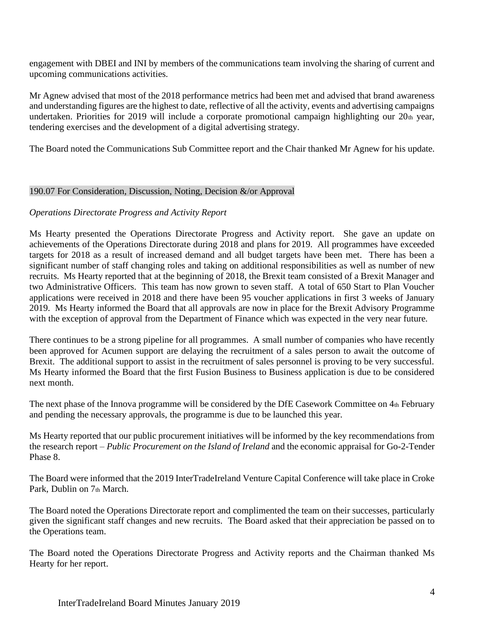engagement with DBEI and INI by members of the communications team involving the sharing of current and upcoming communications activities.

Mr Agnew advised that most of the 2018 performance metrics had been met and advised that brand awareness and understanding figures are the highest to date, reflective of all the activity, events and advertising campaigns undertaken. Priorities for 2019 will include a corporate promotional campaign highlighting our  $20<sub>th</sub>$  year, tendering exercises and the development of a digital advertising strategy.

The Board noted the Communications Sub Committee report and the Chair thanked Mr Agnew for his update.

# 190.07 For Consideration, Discussion, Noting, Decision &/or Approval

# *Operations Directorate Progress and Activity Report*

Ms Hearty presented the Operations Directorate Progress and Activity report. She gave an update on achievements of the Operations Directorate during 2018 and plans for 2019. All programmes have exceeded targets for 2018 as a result of increased demand and all budget targets have been met. There has been a significant number of staff changing roles and taking on additional responsibilities as well as number of new recruits. Ms Hearty reported that at the beginning of 2018, the Brexit team consisted of a Brexit Manager and two Administrative Officers. This team has now grown to seven staff. A total of 650 Start to Plan Voucher applications were received in 2018 and there have been 95 voucher applications in first 3 weeks of January 2019. Ms Hearty informed the Board that all approvals are now in place for the Brexit Advisory Programme with the exception of approval from the Department of Finance which was expected in the very near future.

There continues to be a strong pipeline for all programmes. A small number of companies who have recently been approved for Acumen support are delaying the recruitment of a sales person to await the outcome of Brexit. The additional support to assist in the recruitment of sales personnel is proving to be very successful. Ms Hearty informed the Board that the first Fusion Business to Business application is due to be considered next month.

The next phase of the Innova programme will be considered by the DfE Casework Committee on 4th February and pending the necessary approvals, the programme is due to be launched this year.

Ms Hearty reported that our public procurement initiatives will be informed by the key recommendations from the research report – *Public Procurement on the Island of Ireland* and the economic appraisal for Go-2-Tender Phase 8.

The Board were informed that the 2019 InterTradeIreland Venture Capital Conference will take place in Croke Park, Dublin on 7th March.

The Board noted the Operations Directorate report and complimented the team on their successes, particularly given the significant staff changes and new recruits. The Board asked that their appreciation be passed on to the Operations team.

The Board noted the Operations Directorate Progress and Activity reports and the Chairman thanked Ms Hearty for her report.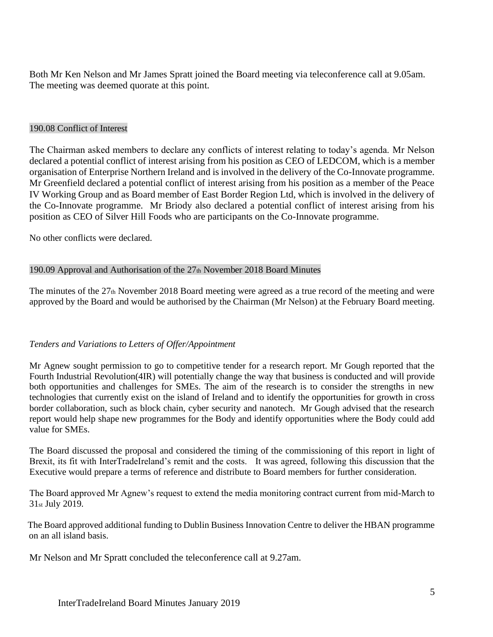Both Mr Ken Nelson and Mr James Spratt joined the Board meeting via teleconference call at 9.05am. The meeting was deemed quorate at this point.

## 190.08 Conflict of Interest

The Chairman asked members to declare any conflicts of interest relating to today's agenda. Mr Nelson declared a potential conflict of interest arising from his position as CEO of LEDCOM, which is a member organisation of Enterprise Northern Ireland and is involved in the delivery of the Co-Innovate programme. Mr Greenfield declared a potential conflict of interest arising from his position as a member of the Peace IV Working Group and as Board member of East Border Region Ltd, which is involved in the delivery of the Co-Innovate programme. Mr Briody also declared a potential conflict of interest arising from his position as CEO of Silver Hill Foods who are participants on the Co-Innovate programme.

No other conflicts were declared.

# 190.09 Approval and Authorisation of the 27th November 2018 Board Minutes

The minutes of the 27th November 2018 Board meeting were agreed as a true record of the meeting and were approved by the Board and would be authorised by the Chairman (Mr Nelson) at the February Board meeting.

### *Tenders and Variations to Letters of Offer/Appointment*

Mr Agnew sought permission to go to competitive tender for a research report. Mr Gough reported that the Fourth Industrial Revolution(4IR) will potentially change the way that business is conducted and will provide both opportunities and challenges for SMEs. The aim of the research is to consider the strengths in new technologies that currently exist on the island of Ireland and to identify the opportunities for growth in cross border collaboration, such as block chain, cyber security and nanotech. Mr Gough advised that the research report would help shape new programmes for the Body and identify opportunities where the Body could add value for SMEs.

The Board discussed the proposal and considered the timing of the commissioning of this report in light of Brexit, its fit with InterTradeIreland's remit and the costs. It was agreed, following this discussion that the Executive would prepare a terms of reference and distribute to Board members for further consideration.

The Board approved Mr Agnew's request to extend the media monitoring contract current from mid-March to 31st July 2019.

The Board approved additional funding to Dublin Business Innovation Centre to deliver the HBAN programme on an all island basis.

Mr Nelson and Mr Spratt concluded the teleconference call at 9.27am.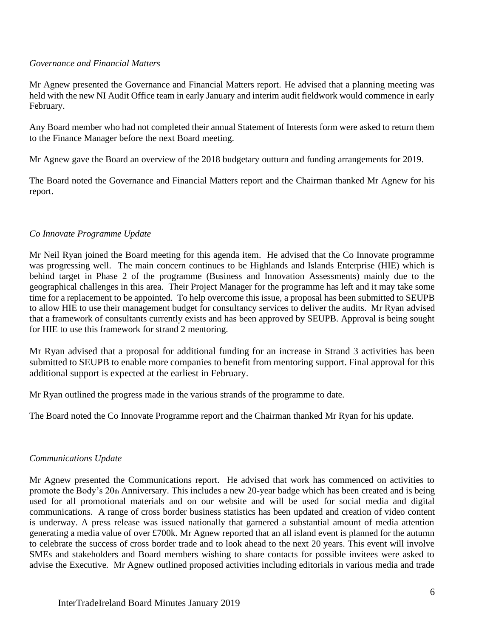### *Governance and Financial Matters*

Mr Agnew presented the Governance and Financial Matters report. He advised that a planning meeting was held with the new NI Audit Office team in early January and interim audit fieldwork would commence in early February.

Any Board member who had not completed their annual Statement of Interests form were asked to return them to the Finance Manager before the next Board meeting.

Mr Agnew gave the Board an overview of the 2018 budgetary outturn and funding arrangements for 2019.

The Board noted the Governance and Financial Matters report and the Chairman thanked Mr Agnew for his report.

### *Co Innovate Programme Update*

Mr Neil Ryan joined the Board meeting for this agenda item. He advised that the Co Innovate programme was progressing well. The main concern continues to be Highlands and Islands Enterprise (HIE) which is behind target in Phase 2 of the programme (Business and Innovation Assessments) mainly due to the geographical challenges in this area. Their Project Manager for the programme has left and it may take some time for a replacement to be appointed. To help overcome this issue, a proposal has been submitted to SEUPB to allow HIE to use their management budget for consultancy services to deliver the audits. Mr Ryan advised that a framework of consultants currently exists and has been approved by SEUPB. Approval is being sought for HIE to use this framework for strand 2 mentoring.

Mr Ryan advised that a proposal for additional funding for an increase in Strand 3 activities has been submitted to SEUPB to enable more companies to benefit from mentoring support. Final approval for this additional support is expected at the earliest in February.

Mr Ryan outlined the progress made in the various strands of the programme to date.

The Board noted the Co Innovate Programme report and the Chairman thanked Mr Ryan for his update.

### *Communications Update*

Mr Agnew presented the Communications report. He advised that work has commenced on activities to promote the Body's 20th Anniversary. This includes a new 20-year badge which has been created and is being used for all promotional materials and on our website and will be used for social media and digital communications. A range of cross border business statistics has been updated and creation of video content is underway. A press release was issued nationally that garnered a substantial amount of media attention generating a media value of over £700k. Mr Agnew reported that an all island event is planned for the autumn to celebrate the success of cross border trade and to look ahead to the next 20 years. This event will involve SMEs and stakeholders and Board members wishing to share contacts for possible invitees were asked to advise the Executive. Mr Agnew outlined proposed activities including editorials in various media and trade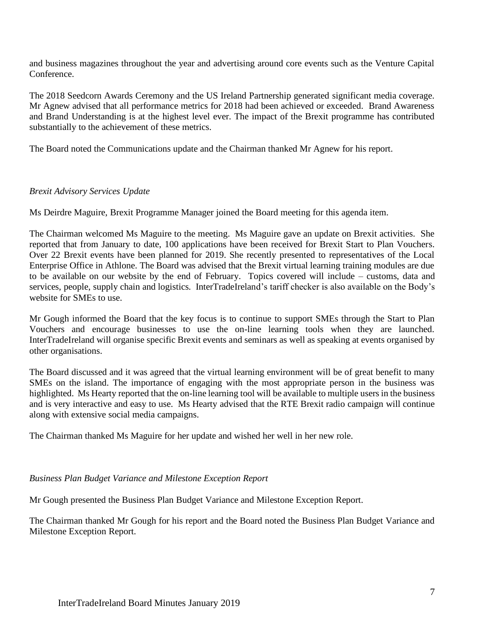and business magazines throughout the year and advertising around core events such as the Venture Capital Conference.

The 2018 Seedcorn Awards Ceremony and the US Ireland Partnership generated significant media coverage. Mr Agnew advised that all performance metrics for 2018 had been achieved or exceeded. Brand Awareness and Brand Understanding is at the highest level ever. The impact of the Brexit programme has contributed substantially to the achievement of these metrics.

The Board noted the Communications update and the Chairman thanked Mr Agnew for his report.

### *Brexit Advisory Services Update*

Ms Deirdre Maguire, Brexit Programme Manager joined the Board meeting for this agenda item.

The Chairman welcomed Ms Maguire to the meeting. Ms Maguire gave an update on Brexit activities. She reported that from January to date, 100 applications have been received for Brexit Start to Plan Vouchers. Over 22 Brexit events have been planned for 2019. She recently presented to representatives of the Local Enterprise Office in Athlone. The Board was advised that the Brexit virtual learning training modules are due to be available on our website by the end of February. Topics covered will include – customs, data and services, people, supply chain and logistics. InterTradeIreland's tariff checker is also available on the Body's website for SMEs to use.

Mr Gough informed the Board that the key focus is to continue to support SMEs through the Start to Plan Vouchers and encourage businesses to use the on-line learning tools when they are launched. InterTradeIreland will organise specific Brexit events and seminars as well as speaking at events organised by other organisations.

The Board discussed and it was agreed that the virtual learning environment will be of great benefit to many SMEs on the island. The importance of engaging with the most appropriate person in the business was highlighted. Ms Hearty reported that the on-line learning tool will be available to multiple users in the business and is very interactive and easy to use. Ms Hearty advised that the RTE Brexit radio campaign will continue along with extensive social media campaigns.

The Chairman thanked Ms Maguire for her update and wished her well in her new role.

### *Business Plan Budget Variance and Milestone Exception Report*

Mr Gough presented the Business Plan Budget Variance and Milestone Exception Report.

The Chairman thanked Mr Gough for his report and the Board noted the Business Plan Budget Variance and Milestone Exception Report.